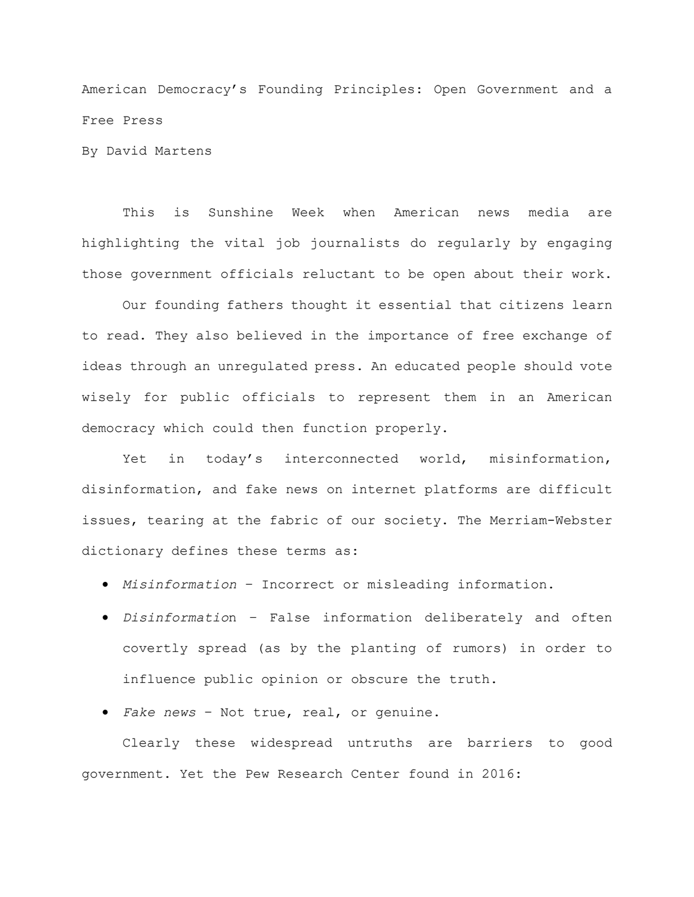American Democracy's Founding Principles: Open Government and a Free Press

By David Martens

This is Sunshine Week when American news media are highlighting the vital job journalists do regularly by engaging those government officials reluctant to be open about their work.

Our founding fathers thought it essential that citizens learn to read. They also believed in the importance of free exchange of ideas through an unregulated press. An educated people should vote wisely for public officials to represent them in an American democracy which could then function properly.

Yet in today's interconnected world, misinformation, disinformation, and fake news on internet platforms are difficult issues, tearing at the fabric of our society. The Merriam-Webster dictionary defines these terms as:

- *Misinformation* Incorrect or misleading information.
- *Disinformatio*n False information deliberately and often covertly spread (as by the planting of rumors) in order to influence public opinion or obscure the truth.
- *Fake news* Not true, real, or genuine.

Clearly these widespread untruths are barriers to good government. Yet the Pew Research Center found in 2016: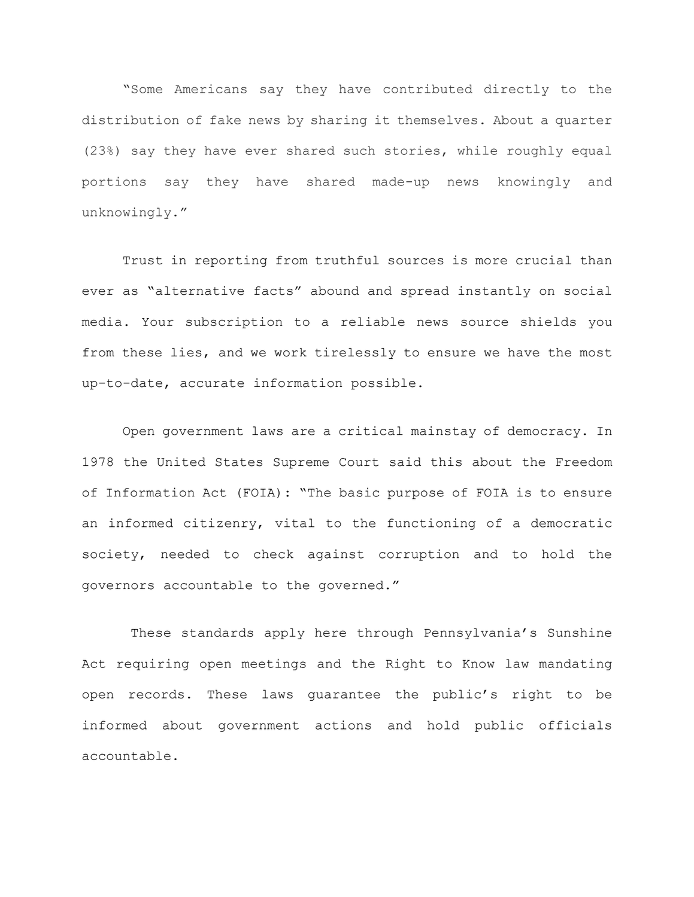"Some Americans say they have contributed directly to the distribution of fake news by sharing it themselves. About a quarter (23%) say they have ever shared such stories, while roughly equal portions say they have shared made-up news knowingly and unknowingly."

Trust in reporting from truthful sources is more crucial than ever as "alternative facts" abound and spread instantly on social media. Your subscription to a reliable news source shields you from these lies, and we work tirelessly to ensure we have the most up-to-date, accurate information possible.

Open government laws are a critical mainstay of democracy. In 1978 the United States Supreme Court said this about the Freedom of Information Act (FOIA): "The basic purpose of FOIA is to ensure an informed citizenry, vital to the functioning of a democratic society, needed to check against corruption and to hold the governors accountable to the governed."

These standards apply here through Pennsylvania's Sunshine Act requiring open meetings and the Right to Know law mandating open records. These laws guarantee the public's right to be informed about government actions and hold public officials accountable.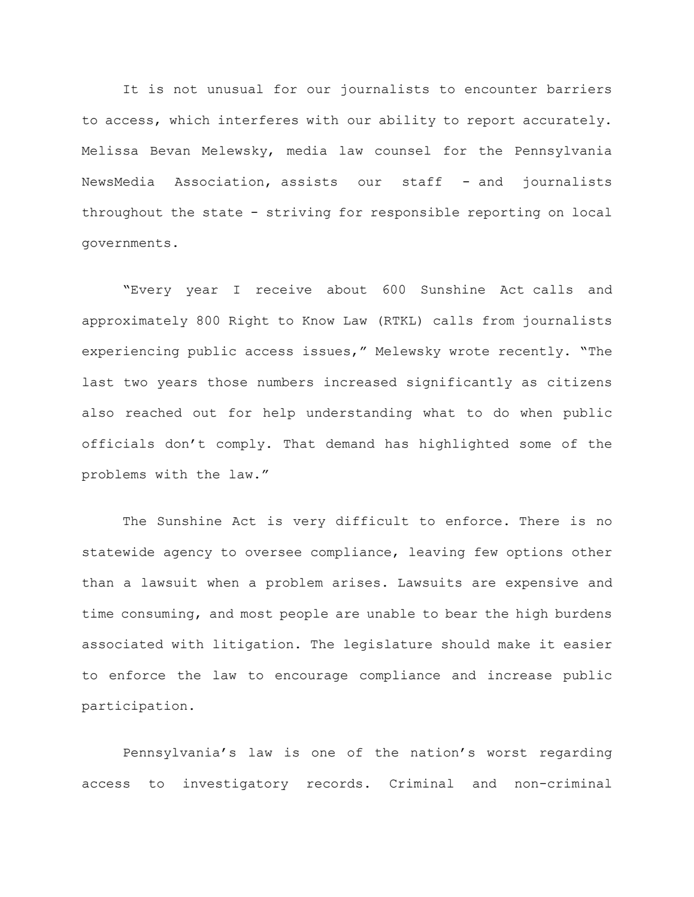It is not unusual for our journalists to encounter barriers to access, which interferes with our ability to report accurately. Melissa Bevan Melewsky, media law counsel for the Pennsylvania NewsMedia Association, assists our staff - and journalists throughout the state - striving for responsible reporting on local governments.

"Every year I receive about 600 Sunshine Act calls and approximately 800 Right to Know Law (RTKL) calls from journalists experiencing public access issues," Melewsky wrote recently. "The last two years those numbers increased significantly as citizens also reached out for help understanding what to do when public officials don't comply. That demand has highlighted some of the problems with the law."

The Sunshine Act is very difficult to enforce. There is no statewide agency to oversee compliance, leaving few options other than a lawsuit when a problem arises. Lawsuits are expensive and time consuming, and most people are unable to bear the high burdens associated with litigation. The legislature should make it easier to enforce the law to encourage compliance and increase public participation.

Pennsylvania's law is one of the nation's worst regarding access to investigatory records. Criminal and non-criminal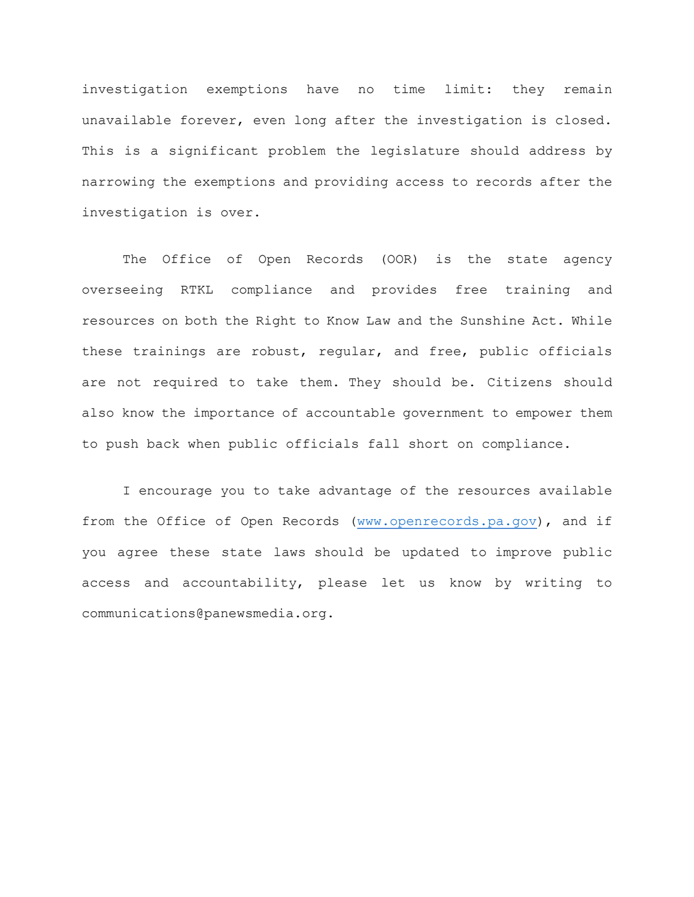investigation exemptions have no time limit: they remain unavailable forever, even long after the investigation is closed. This is a significant problem the legislature should address by narrowing the exemptions and providing access to records after the investigation is over.

The Office of Open Records (OOR) is the state agency overseeing RTKL compliance and provides free training and resources on both the Right to Know Law and the Sunshine Act. While these trainings are robust, regular, and free, public officials are not required to take them. They should be. Citizens should also know the importance of accountable government to empower them to push back when public officials fall short on compliance.

I encourage you to take advantage of the resources available from the Office of Open Records [\(www.openrecords.pa.gov\)](http://www.openrecords.pa.gov/), and if you agree these state laws should be updated to improve public access and accountability, please let us know by writing to communications@panewsmedia.org.